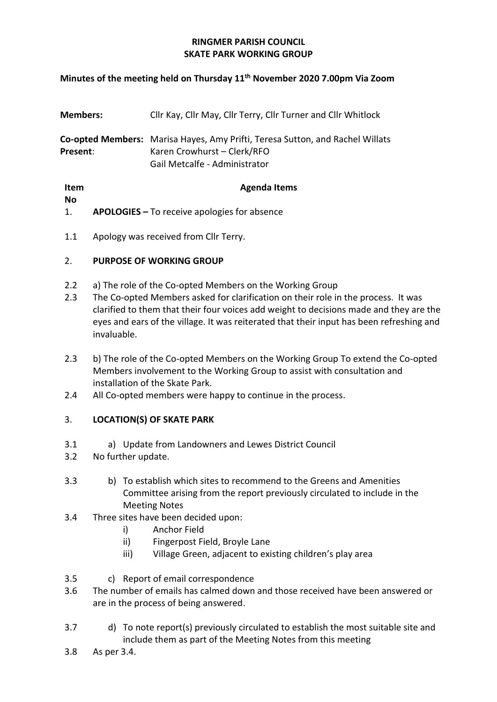# **RINGMER PARISH COUNCIL SKATE PARK WORKING GROUP**

## **Minutes of the meeting held on Thursday 11th November 2020 7.00pm Via Zoom**

| <b>Members:</b> | Cllr Kay, Cllr May, Cllr Terry, Cllr Turner and Cllr Whitlock                                                                                 |
|-----------------|-----------------------------------------------------------------------------------------------------------------------------------------------|
| Present:        | Co-opted Members: Marisa Hayes, Amy Prifti, Teresa Sutton, and Rachel Willats<br>Karen Crowhurst - Clerk/RFO<br>Gail Metcalfe - Administrator |
| Item            | <b>Agenda Items</b>                                                                                                                           |

**No** 1. **APOLOGIES –** To receive apologies for absence

1.1 Apology was received from Cllr Terry.

# 2. **PURPOSE OF WORKING GROUP**

- 2.2 a) The role of the Co-opted Members on the Working Group
- 2.3 The Co-opted Members asked for clarification on their role in the process. It was clarified to them that their four voices add weight to decisions made and they are the eyes and ears of the village. It was reiterated that their input has been refreshing and invaluable.
- 2.3 b) The role of the Co-opted Members on the Working Group To extend the Co-opted Members involvement to the Working Group to assist with consultation and installation of the Skate Park.
- 2.4 All Co-opted members were happy to continue in the process.

## 3. **LOCATION(S) OF SKATE PARK**

- 3.1 a) Update from Landowners and Lewes District Council
- 3.2 No further update.
- 3.3 b) To establish which sites to recommend to the Greens and Amenities Committee arising from the report previously circulated to include in the Meeting Notes
- 3.4 Three sites have been decided upon:
	- i) Anchor Field
	- ii) Fingerpost Field, Broyle Lane
	- iii) Village Green, adjacent to existing children's play area
- 3.5 c) Report of email correspondence
- 3.6 The number of emails has calmed down and those received have been answered or are in the process of being answered.
- 3.7 d) To note report(s) previously circulated to establish the most suitable site and include them as part of the Meeting Notes from this meeting
- 3.8 As per 3.4.